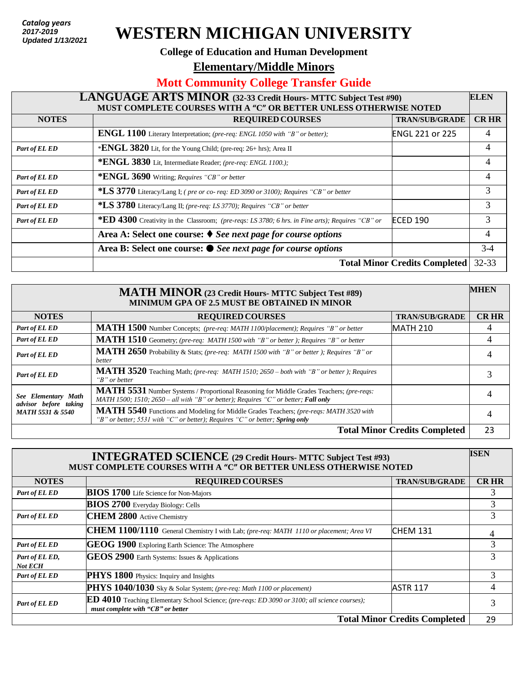*Catalog years 2017 - present* **2017-2019** *Updated: 7/26/2018*  **Updated 1/13/2021**

# **WESTERN MICHIGAN UNIVERSITY**

#### **College of Education and Human Development**

**Elementary/Middle Minors** 

## **Mott Community College Transfer Guide**

#### **LANGUAGE ARTS MINOR (32-33 Credit Hours- MTTC Subject Test #90) MUST COMPLETE COURSES WITH A "C" OR BETTER UNLESS OTHERWISE NOTED ELEN NOTES REQUIRED COURSES TRAN/SUB/GRADE CR HR ENGL 1100** Literary Interpretation; *(pre-req: ENGL 1050 with "B" or better);* ENGL 221 or 225 4 *Part of EL ED* \***ENGL** 3820 Lit, for the Young Child; (pre-req: 26+ hrs); Area II 4

|               | *ENGL 3830 Lit, Intermediate Reader; (pre-req: ENGL 1100.);                                             |                                      |                |
|---------------|---------------------------------------------------------------------------------------------------------|--------------------------------------|----------------|
| Part of EL ED | *ENGL 3690 Writing; Requires "CB" or better                                                             |                                      |                |
| Part of EL ED | *LS 3770 Literacy/Lang I; (pre or co-req: ED 3090 or 3100); Requires "CB" or better                     |                                      | 3              |
| Part of EL ED | *LS 3780 Literacy/Lang II; (pre-req: LS 3770); Requires "CB" or better                                  |                                      | 3              |
| Part of EL ED | <b>*ED 4300</b> Creativity in the Classroom; (pre-reqs: LS 3780; 6 hrs. in Fine arts); Requires "CB" or | <b>ECED 190</b>                      | 3              |
|               | Area A: Select one course: $\blacklozenge$ See next page for course options                             |                                      | $\overline{4}$ |
|               | Area B: Select one course: ● See next page for course options                                           |                                      | $3-4$          |
|               |                                                                                                         | <b>Total Minor Credits Completed</b> | $32 - 33$      |

| <b>MATH MINOR</b> (23 Credit Hours- MTTC Subject Test #89)<br><b>MINIMUM GPA OF 2.5 MUST BE OBTAINED IN MINOR</b> |                                                                                                                                                                                |                       | <b>MHEN</b> |
|-------------------------------------------------------------------------------------------------------------------|--------------------------------------------------------------------------------------------------------------------------------------------------------------------------------|-----------------------|-------------|
| <b>NOTES</b>                                                                                                      | <b>REQUIRED COURSES</b>                                                                                                                                                        | <b>TRAN/SUB/GRADE</b> | <b>CRHR</b> |
| Part of EL ED                                                                                                     | MATH 1500 Number Concepts; (pre-req: MATH 1100/placement); Requires "B" or better                                                                                              | <b>MATH 210</b>       | 4           |
| Part of EL ED                                                                                                     | MATH 1510 Geometry; (pre-req: MATH 1500 with "B" or better ); Requires "B" or better                                                                                           |                       | 4           |
| Part of EL ED                                                                                                     | MATH 2650 Probability & Stats; (pre-req: MATH 1500 with "B" or better); Requires "B" or<br>better                                                                              |                       |             |
| Part of EL ED                                                                                                     | MATH 3520 Teaching Math; (pre-req: MATH 1510; 2650 - both with "B" or better); Requires<br>$B"$ or better                                                                      |                       |             |
| See Elementary Math<br>advisor before taking<br><b>MATH 5531 &amp; 5540</b>                                       | MATH 5531 Number Systems / Proportional Reasoning for Middle Grades Teachers; (pre-reqs:<br>MATH 1500; 1510; 2650 – all with "B" or better); Requires "C" or better; Fall only |                       |             |
|                                                                                                                   | MATH 5540 Functions and Modeling for Middle Grades Teachers; (pre-reqs: MATH 3520 with<br>"B" or better; 5531 with "C" or better); Requires "C" or better; Spring only         |                       | 4           |
| <b>Total Minor Credits Completed</b>                                                                              |                                                                                                                                                                                |                       | 23          |

| <b>INTEGRATED SCIENCE</b> (29 Credit Hours- MTTC Subject Test #93)<br>MUST COMPLETE COURSES WITH A "C" OR BETTER UNLESS OTHERWISE NOTED |                                                                                                                                    |                       | <b>ISEN</b> |
|-----------------------------------------------------------------------------------------------------------------------------------------|------------------------------------------------------------------------------------------------------------------------------------|-----------------------|-------------|
| <b>NOTES</b>                                                                                                                            | <b>REQUIRED COURSES</b>                                                                                                            | <b>TRAN/SUB/GRADE</b> | <b>CRHR</b> |
| Part of EL ED                                                                                                                           | <b>BIOS 1700</b> Life Science for Non-Majors                                                                                       |                       |             |
|                                                                                                                                         | <b>BIOS 2700</b> Everyday Biology: Cells                                                                                           |                       | 3           |
| Part of EL ED                                                                                                                           | <b>CHEM 2800</b> Active Chemistry                                                                                                  |                       | 3           |
|                                                                                                                                         | CHEM 1100/1110 General Chemistry I with Lab; (pre-req: MATH 1110 or placement; Area VI                                             | <b>CHEM 131</b>       | 4           |
| Part of EL ED                                                                                                                           | GEOG 1900 Exploring Earth Science: The Atmosphere                                                                                  |                       | 3           |
| Part of EL ED,<br><b>Not ECH</b>                                                                                                        | GEOS 2900 Earth Systems: Issues & Applications                                                                                     |                       | 3           |
| Part of EL ED                                                                                                                           | PHYS 1800 Physics: Inquiry and Insights                                                                                            |                       | 3           |
|                                                                                                                                         | PHYS 1040/1030 Sky & Solar System; (pre-req: Math 1100 or placement)                                                               | <b>ASTR 117</b>       | 4           |
| Part of EL ED                                                                                                                           | ED 4010 Teaching Elementary School Science; (pre-reqs: ED 3090 or 3100; all science courses);<br>must complete with "CB" or better |                       | 3           |
| <b>Total Minor Credits Completed</b>                                                                                                    |                                                                                                                                    |                       | 29          |